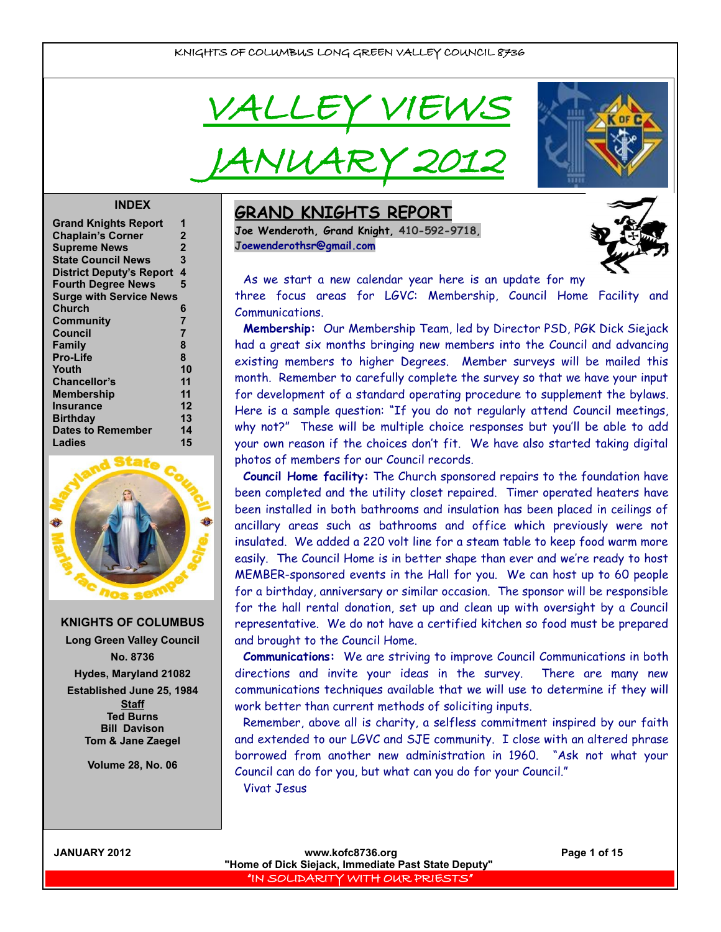VALLEY VIEI

JANUARY 2012

#### **INDEX**

| <b>Grand Knights Report</b>     |                |
|---------------------------------|----------------|
| <b>Chaplain's Corner</b>        | 2              |
| <b>Supreme News</b>             | $\overline{2}$ |
| <b>State Council News</b>       | 3              |
| <b>District Deputy's Report</b> | 4              |
| <b>Fourth Degree News</b>       | 5              |
| <b>Surge with Service News</b>  |                |
| <b>Church</b>                   | 6              |
| Community                       | $\overline{7}$ |
| <b>Council</b>                  | 7              |
| <b>Family</b>                   | 8              |
| <b>Pro-Life</b>                 | 8              |
| Youth                           | 10             |
| Chancellor's                    | 11             |
| <b>Membership</b>               | 11             |
| Insurance                       | 12             |
| <b>Birthday</b>                 | 13             |
| <b>Dates to Remember</b>        | 14             |
| Ladies                          | 15             |
|                                 |                |



**KNIGHTS OF COLUMBUS Long Green Valley Council No. 8736 Hydes, Maryland 21082 Established June 25, 1984 Staff Ted Burns Bill Davison Tom & Jane Zaegel**

**Volume 28, No. 06**

## **GRAND KNIGHTS REPORT**

**Joe Wenderoth, Grand Knight, 410-592-9718, [Joewenderothsr@gmail.com](mailto:Joewenderothsr@gmail.com)**





As we start a new calendar year here is an update for my three focus areas for LGVC: Membership, Council Home Facility and Communications.

**Membership:** Our Membership Team, led by Director PSD, PGK Dick Siejack had a great six months bringing new members into the Council and advancing existing members to higher Degrees. Member surveys will be mailed this month. Remember to carefully complete the survey so that we have your input for development of a standard operating procedure to supplement the bylaws. Here is a sample question: "If you do not regularly attend Council meetings, why not?" These will be multiple choice responses but you'll be able to add your own reason if the choices don't fit. We have also started taking digital photos of members for our Council records.

**Council Home facility:** The Church sponsored repairs to the foundation have been completed and the utility closet repaired. Timer operated heaters have been installed in both bathrooms and insulation has been placed in ceilings of ancillary areas such as bathrooms and office which previously were not insulated. We added a 220 volt line for a steam table to keep food warm more easily. The Council Home is in better shape than ever and we're ready to host MEMBER-sponsored events in the Hall for you. We can host up to 60 people for a birthday, anniversary or similar occasion. The sponsor will be responsible for the hall rental donation, set up and clean up with oversight by a Council representative. We do not have a certified kitchen so food must be prepared and brought to the Council Home.

**Communications:** We are striving to improve Council Communications in both directions and invite your ideas in the survey. There are many new communications techniques available that we will use to determine if they will work better than current methods of soliciting inputs.

Remember, above all is charity, a selfless commitment inspired by our faith and extended to our LGVC and SJE community. I close with an altered phrase borrowed from another new administration in 1960. "Ask not what your Council can do for you, but what can you do for your Council." Vivat Jesus

**JANUARY 2012 www.kofc8736.org Page 1 of 15 "Home of Dick Siejack, Immediate Past State Deputy"**  "IN SOLIDARITY WITH OUR PRIESTS"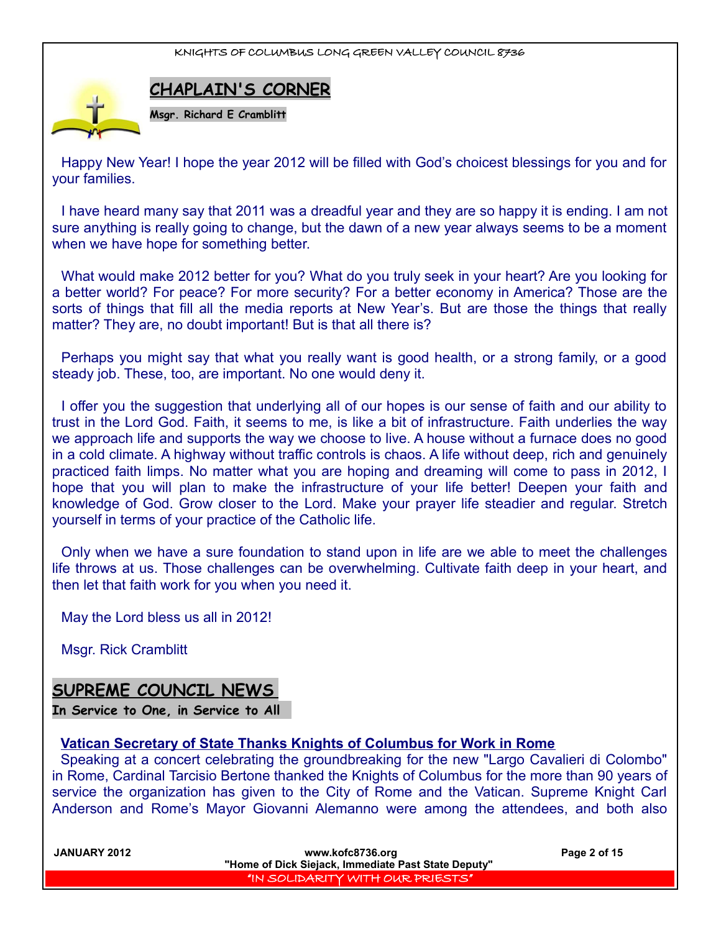

**CHAPLAIN'S CORNER**

Happy New Year! I hope the year 2012 will be filled with God's choicest blessings for you and for your families.

I have heard many say that 2011 was a dreadful year and they are so happy it is ending. I am not sure anything is really going to change, but the dawn of a new year always seems to be a moment when we have hope for something better.

What would make 2012 better for you? What do you truly seek in your heart? Are you looking for a better world? For peace? For more security? For a better economy in America? Those are the sorts of things that fill all the media reports at New Year's. But are those the things that really matter? They are, no doubt important! But is that all there is?

Perhaps you might say that what you really want is good health, or a strong family, or a good steady job. These, too, are important. No one would deny it.

I offer you the suggestion that underlying all of our hopes is our sense of faith and our ability to trust in the Lord God. Faith, it seems to me, is like a bit of infrastructure. Faith underlies the way we approach life and supports the way we choose to live. A house without a furnace does no good in a cold climate. A highway without traffic controls is chaos. A life without deep, rich and genuinely practiced faith limps. No matter what you are hoping and dreaming will come to pass in 2012, I hope that you will plan to make the infrastructure of your life better! Deepen your faith and knowledge of God. Grow closer to the Lord. Make your prayer life steadier and regular. Stretch yourself in terms of your practice of the Catholic life.

Only when we have a sure foundation to stand upon in life are we able to meet the challenges life throws at us. Those challenges can be overwhelming. Cultivate faith deep in your heart, and then let that faith work for you when you need it.

May the Lord bless us all in 2012!

Msgr. Rick Cramblitt

## **SUPREME COUNCIL NEWS**

**In Service to One, in Service to All** 

#### **Vatican Secretary of State Thanks Knights of Columbus for Work in Rome**

Speaking at a concert celebrating the groundbreaking for the new "Largo Cavalieri di Colombo" in Rome, Cardinal Tarcisio Bertone thanked the Knights of Columbus for the more than 90 years of service the organization has given to the City of Rome and the Vatican. Supreme Knight Carl Anderson and Rome's Mayor Giovanni Alemanno were among the attendees, and both also

**JANUARY 2012 www.kofc8736.org Page 2 of 15 "Home of Dick Siejack, Immediate Past State Deputy"**  "IN SOLIDARITY WITH OUR PRIESTS"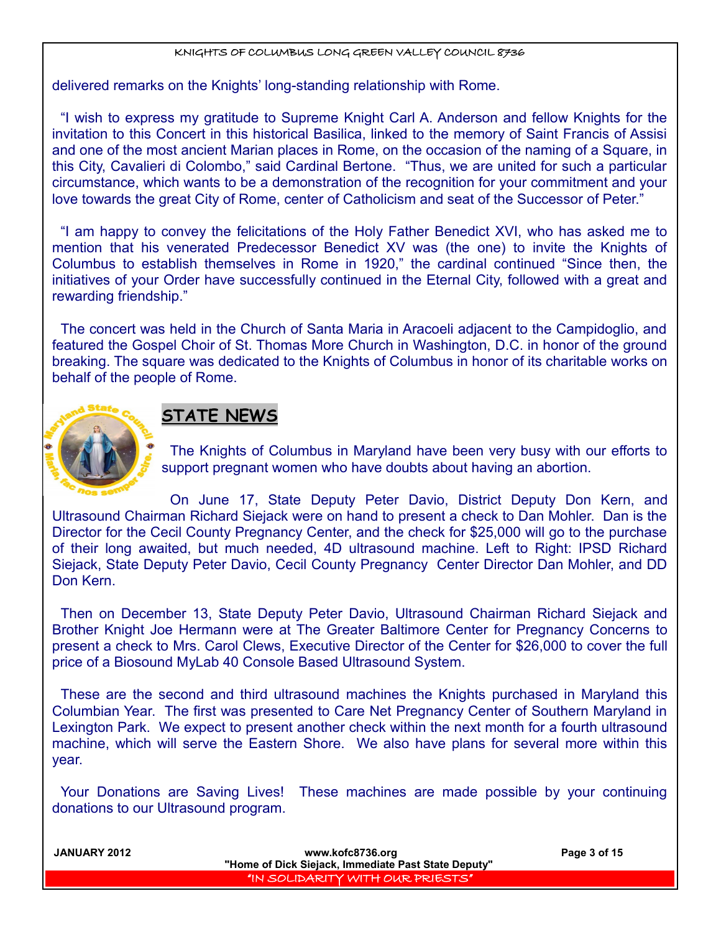delivered remarks on the Knights' long-standing relationship with Rome.

"I wish to express my gratitude to Supreme Knight Carl A. Anderson and fellow Knights for the invitation to this Concert in this historical Basilica, linked to the memory of Saint Francis of Assisi and one of the most ancient Marian places in Rome, on the occasion of the naming of a Square, in this City, Cavalieri di Colombo," said Cardinal Bertone. "Thus, we are united for such a particular circumstance, which wants to be a demonstration of the recognition for your commitment and your love towards the great City of Rome, center of Catholicism and seat of the Successor of Peter."

"I am happy to convey the felicitations of the Holy Father Benedict XVI, who has asked me to mention that his venerated Predecessor Benedict XV was (the one) to invite the Knights of Columbus to establish themselves in Rome in 1920," the cardinal continued "Since then, the initiatives of your Order have successfully continued in the Eternal City, followed with a great and rewarding friendship."

The concert was held in the Church of Santa Maria in Aracoeli adjacent to the Campidoglio, and featured the Gospel Choir of St. Thomas More Church in Washington, D.C. in honor of the ground breaking. The square was dedicated to the Knights of Columbus in honor of its charitable works on behalf of the people of Rome.



## **STATE NEWS**

The Knights of Columbus in Maryland have been very busy with our efforts to support pregnant women who have doubts about having an abortion.

On June 17, State Deputy Peter Davio, District Deputy Don Kern, and Ultrasound Chairman Richard Siejack were on hand to present a check to Dan Mohler. Dan is the Director for the Cecil County Pregnancy Center, and the check for \$25,000 will go to the purchase of their long awaited, but much needed, 4D ultrasound machine. Left to Right: IPSD Richard Siejack, State Deputy Peter Davio, Cecil County Pregnancy Center Director Dan Mohler, and DD Don Kern.

Then on December 13, State Deputy Peter Davio, Ultrasound Chairman Richard Siejack and Brother Knight Joe Hermann were at The Greater Baltimore Center for Pregnancy Concerns to present a check to Mrs. Carol Clews, Executive Director of the Center for \$26,000 to cover the full price of a Biosound MyLab 40 Console Based Ultrasound System.

These are the second and third ultrasound machines the Knights purchased in Maryland this Columbian Year. The first was presented to Care Net Pregnancy Center of Southern Maryland in Lexington Park. We expect to present another check within the next month for a fourth ultrasound machine, which will serve the Eastern Shore. We also have plans for several more within this year.

Your Donations are Saving Lives! These machines are made possible by your continuing donations to our Ultrasound program.

| JANUARY 2012 | www.kofc8736.org                                    | Page 3 of 15 |
|--------------|-----------------------------------------------------|--------------|
|              | "Home of Dick Siejack, Immediate Past State Deputy" |              |
|              | I "IN SOLIDARITY WITH OUR PRIESTS" I                |              |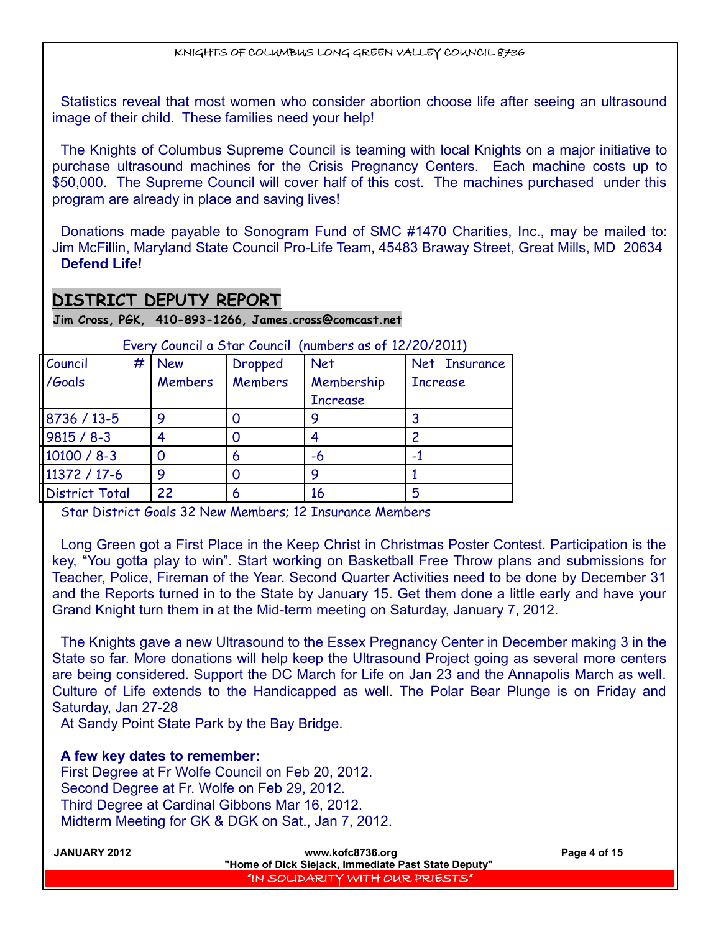Statistics reveal that most women who consider abortion choose life after seeing an ultrasound image of their child. These families need your help!

The Knights of Columbus Supreme Council is teaming with local Knights on a major initiative to purchase ultrasound machines for the Crisis Pregnancy Centers. Each machine costs up to \$50,000. The Supreme Council will cover half of this cost. The machines purchased under this program are already in place and saving lives!

Donations made payable to Sonogram Fund of SMC #1470 Charities, Inc., may be mailed to: Jim McFillin, Maryland State Council Pro-Life Team, 45483 Braway Street, Great Mills, MD 20634 **Defend Life!**

## **DISTRICT DEPUTY REPORT**

**Jim Cross, PGK, 410-893-1266, James.cross@comcast.net**

| Council               | # | <b>New</b>     | Dropped | <b>Net</b>      | Net Insurance   |
|-----------------------|---|----------------|---------|-----------------|-----------------|
| /Goals                |   | <b>Members</b> | Members | Membership      | <b>Increase</b> |
|                       |   |                |         | <b>Increase</b> |                 |
| 8736 / 13-5           |   | 9              |         | 9               |                 |
| $9815 / 8 - 3$        |   |                |         |                 |                 |
| 10100 / 8-3           |   |                | 6       | -6              |                 |
| 11372 / 17-6          |   | 9              |         | 9               |                 |
| <b>District Total</b> |   | 22             | 6       | 16              | 5               |
|                       |   |                |         |                 |                 |

Every Council a Star Council (numbers as of 12/20/2011)

Star District Goals 32 New Members; 12 Insurance Members

Long Green got a First Place in the Keep Christ in Christmas Poster Contest. Participation is the key, "You gotta play to win". Start working on Basketball Free Throw plans and submissions for Teacher, Police, Fireman of the Year. Second Quarter Activities need to be done by December 31 and the Reports turned in to the State by January 15. Get them done a little early and have your Grand Knight turn them in at the Mid-term meeting on Saturday, January 7, 2012.

The Knights gave a new Ultrasound to the Essex Pregnancy Center in December making 3 in the State so far. More donations will help keep the Ultrasound Project going as several more centers are being considered. Support the DC March for Life on Jan 23 and the Annapolis March as well. Culture of Life extends to the Handicapped as well. The Polar Bear Plunge is on Friday and Saturday, Jan 27-28

At Sandy Point State Park by the Bay Bridge.

**A few key dates to remember:** 

First Degree at Fr Wolfe Council on Feb 20, 2012. Second Degree at Fr. Wolfe on Feb 29, 2012. Third Degree at Cardinal Gibbons Mar 16, 2012. Midterm Meeting for GK & DGK on Sat., Jan 7, 2012.

| <b>JANUARY 2012</b> | www.kofc8736.org                                    | Page 4 of 15 |
|---------------------|-----------------------------------------------------|--------------|
|                     | "Home of Dick Siejack, Immediate Past State Deputy" |              |
|                     | I "IN SOLIDARITY WITH OUR PRIESTS" I                |              |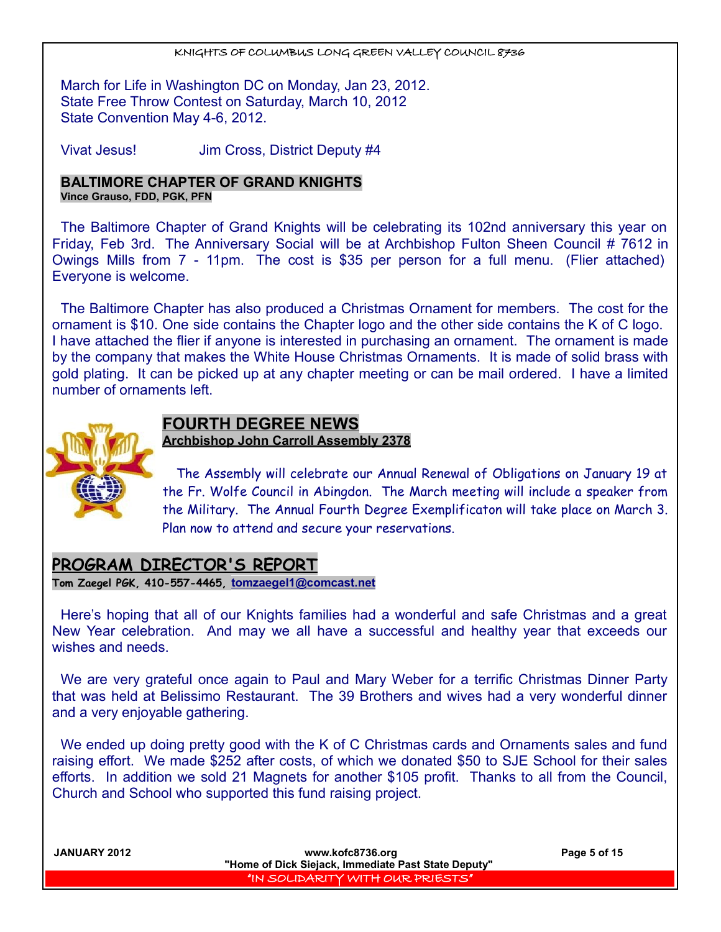March for Life in Washington DC on Monday, Jan 23, 2012. State Free Throw Contest on Saturday, March 10, 2012 State Convention May 4-6, 2012.

Vivat Jesus! Jim Cross, District Deputy #4

#### **BALTIMORE CHAPTER OF GRAND KNIGHTS Vince Grauso, FDD, PGK, PFN**

The Baltimore Chapter of Grand Knights will be celebrating its 102nd anniversary this year on Friday, Feb 3rd. The Anniversary Social will be at Archbishop Fulton Sheen Council # 7612 in Owings Mills from 7 - 11pm. The cost is \$35 per person for a full menu. (Flier attached) Everyone is welcome.

The Baltimore Chapter has also produced a Christmas Ornament for members. The cost for the ornament is \$10. One side contains the Chapter logo and the other side contains the K of C logo. I have attached the flier if anyone is interested in purchasing an ornament. The ornament is made by the company that makes the White House Christmas Ornaments. It is made of solid brass with gold plating. It can be picked up at any chapter meeting or can be mail ordered. I have a limited number of ornaments left.



## **FOURTH DEGREE NEWS Archbishop John Carroll Assembly 2378**

 The Assembly will celebrate our Annual Renewal of Obligations on January 19 at the Fr. Wolfe Council in Abingdon. The March meeting will include a speaker from the Military. The Annual Fourth Degree Exemplificaton will take place on March 3. Plan now to attend and secure your reservations.

#### **PROGRAM DIRECTOR'S REPORT Tom Zaegel PGK, 410-557-4465, [tomzaegel1@comcast.net](mailto:tomzaegel1@comcast.net)**

Here's hoping that all of our Knights families had a wonderful and safe Christmas and a great New Year celebration. And may we all have a successful and healthy year that exceeds our wishes and needs.

We are very grateful once again to Paul and Mary Weber for a terrific Christmas Dinner Party that was held at Belissimo Restaurant. The 39 Brothers and wives had a very wonderful dinner and a very enjoyable gathering.

We ended up doing pretty good with the K of C Christmas cards and Ornaments sales and fund raising effort. We made \$252 after costs, of which we donated \$50 to SJE School for their sales efforts. In addition we sold 21 Magnets for another \$105 profit. Thanks to all from the Council, Church and School who supported this fund raising project.

| <b>JANUARY 2012</b> | www.kofc8736.org<br>"Home of Dick Siejack, Immediate Past State Deputy" | Page 5 of 15 |
|---------------------|-------------------------------------------------------------------------|--------------|
|                     | "IN SOLIDARITY WITH OUR PRIESTS"                                        |              |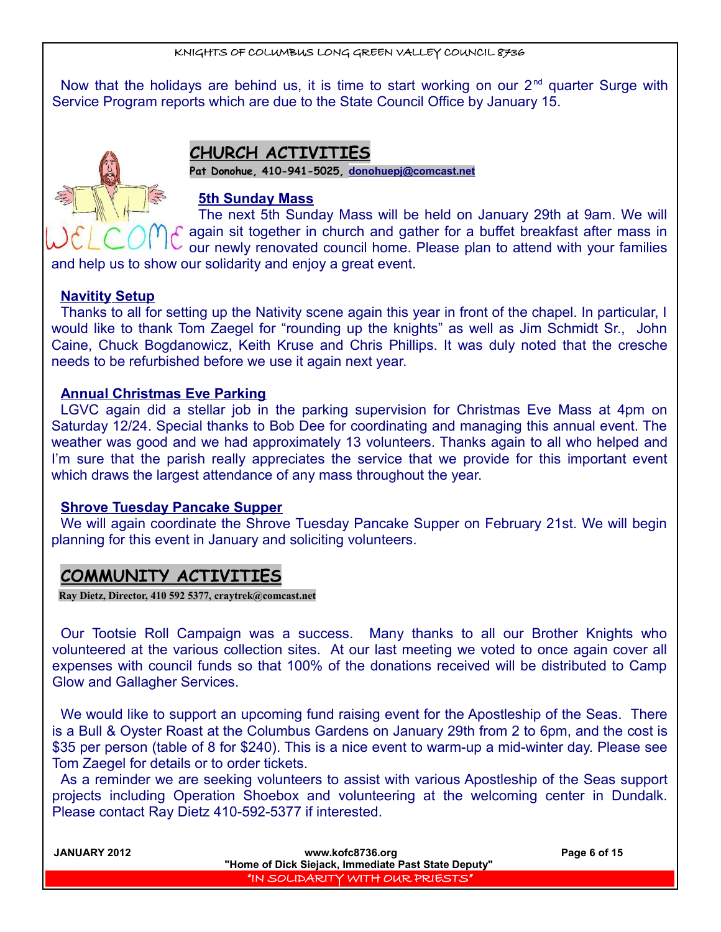Now that the holidays are behind us, it is time to start working on our  $2<sup>nd</sup>$  quarter Surge with Service Program reports which are due to the State Council Office by January 15.



## **CHURCH ACTIVITIES**

**Pat Donohue, 410-941-5025, [donohuepj@comcast.net](mailto:donohuepj@comcast.net)**

#### **5th Sunday Mass**

The next 5th Sunday Mass will be held on January 29th at 9am. We will again sit together in church and gather for a buffet breakfast after mass in our newly renovated council home. Please plan to attend with your families

and help us to show our solidarity and enjoy a great event.

#### **Navitity Setup**

Thanks to all for setting up the Nativity scene again this year in front of the chapel. In particular, I would like to thank Tom Zaegel for "rounding up the knights" as well as Jim Schmidt Sr., John Caine, Chuck Bogdanowicz, Keith Kruse and Chris Phillips. It was duly noted that the cresche needs to be refurbished before we use it again next year.

#### **Annual Christmas Eve Parking**

LGVC again did a stellar job in the parking supervision for Christmas Eve Mass at 4pm on Saturday 12/24. Special thanks to Bob Dee for coordinating and managing this annual event. The weather was good and we had approximately 13 volunteers. Thanks again to all who helped and I'm sure that the parish really appreciates the service that we provide for this important event which draws the largest attendance of any mass throughout the year.

#### **Shrove Tuesday Pancake Supper**

We will again coordinate the Shrove Tuesday Pancake Supper on February 21st. We will begin planning for this event in January and soliciting volunteers.

## **COMMUNITY ACTIVITIES**

**Ray Dietz, Director, 410 592 5377, [craytrek@comcast.net](mailto:craytrek@comcast.net)**

Our Tootsie Roll Campaign was a success. Many thanks to all our Brother Knights who volunteered at the various collection sites. At our last meeting we voted to once again cover all expenses with council funds so that 100% of the donations received will be distributed to Camp Glow and Gallagher Services.

We would like to support an upcoming fund raising event for the Apostleship of the Seas. There is a Bull & Oyster Roast at the Columbus Gardens on January 29th from 2 to 6pm, and the cost is \$35 per person (table of 8 for \$240). This is a nice event to warm-up a mid-winter day. Please see Tom Zaegel for details or to order tickets.

As a reminder we are seeking volunteers to assist with various Apostleship of the Seas support projects including Operation Shoebox and volunteering at the welcoming center in Dundalk. Please contact Ray Dietz 410-592-5377 if interested.

| <b>JANUARY 2012</b> | www.kofc8736.org                                    | Page 6 of 15 |
|---------------------|-----------------------------------------------------|--------------|
|                     | "Home of Dick Siejack, Immediate Past State Deputy" |              |
|                     | "IN SOLIDARITY WITH OUR PRIESTS"                    |              |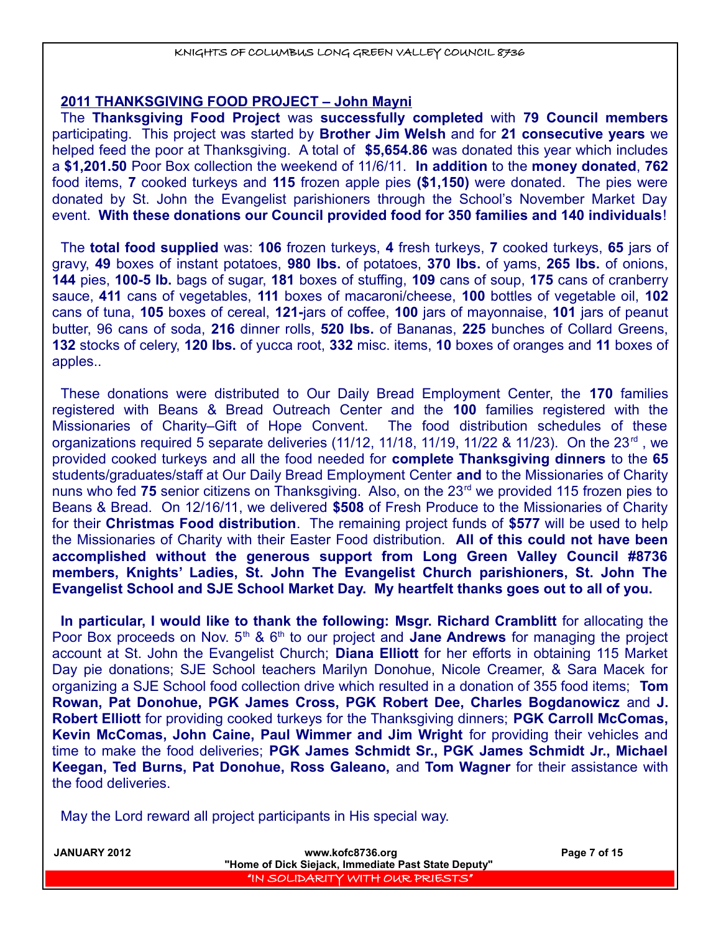#### **2011 THANKSGIVING FOOD PROJECT – John Mayni**

The **Thanksgiving Food Project** was **successfully completed** with **79 Council members** participating. This project was started by **Brother Jim Welsh** and for **21 consecutive years** we helped feed the poor at Thanksgiving. A total of **\$5,654.86** was donated this year which includes a **\$1,201.50** Poor Box collection the weekend of 11/6/11. **In addition** to the **money donated**, **762** food items, **7** cooked turkeys and **115** frozen apple pies **(\$1,150)** were donated. The pies were donated by St. John the Evangelist parishioners through the School's November Market Day event. **With these donations our Council provided food for 350 families and 140 individuals**!

The **total food supplied** was: **106** frozen turkeys, **4** fresh turkeys, **7** cooked turkeys, **65** jars of gravy, **49** boxes of instant potatoes, **980 lbs.** of potatoes, **370 lbs.** of yams, **265 lbs.** of onions, **144** pies, **100-5 lb.** bags of sugar, **181** boxes of stuffing, **109** cans of soup, **175** cans of cranberry sauce, **411** cans of vegetables, **111** boxes of macaroni/cheese, **100** bottles of vegetable oil, **102** cans of tuna, **105** boxes of cereal, **121-**jars of coffee, **100** jars of mayonnaise, **101** jars of peanut butter, 96 cans of soda, **216** dinner rolls, **520 lbs.** of Bananas, **225** bunches of Collard Greens, **132** stocks of celery, **120 lbs.** of yucca root, **332** misc. items, **10** boxes of oranges and **11** boxes of apples..

These donations were distributed to Our Daily Bread Employment Center, the **170** families registered with Beans & Bread Outreach Center and the **100** families registered with the Missionaries of Charity–Gift of Hope Convent. The food distribution schedules of these organizations required 5 separate deliveries (11/12, 11/18, 11/19, 11/22 & 11/23). On the  $23<sup>rd</sup>$ , we provided cooked turkeys and all the food needed for **complete Thanksgiving dinners** to the **65** students/graduates/staff at Our Daily Bread Employment Center **and** to the Missionaries of Charity nuns who fed 75 senior citizens on Thanksgiving. Also, on the 23<sup>rd</sup> we provided 115 frozen pies to Beans & Bread. On 12/16/11, we delivered **\$508** of Fresh Produce to the Missionaries of Charity for their **Christmas Food distribution**. The remaining project funds of **\$577** will be used to help the Missionaries of Charity with their Easter Food distribution. **All of this could not have been accomplished without the generous support from Long Green Valley Council #8736 members, Knights' Ladies, St. John The Evangelist Church parishioners, St. John The Evangelist School and SJE School Market Day. My heartfelt thanks goes out to all of you.** 

**In particular, I would like to thank the following: Msgr. Richard Cramblitt** for allocating the Poor Box proceeds on Nov. 5<sup>th</sup> & 6<sup>th</sup> to our project and **Jane Andrews** for managing the project account at St. John the Evangelist Church; **Diana Elliott** for her efforts in obtaining 115 Market Day pie donations; SJE School teachers Marilyn Donohue, Nicole Creamer, & Sara Macek for organizing a SJE School food collection drive which resulted in a donation of 355 food items; **Tom Rowan, Pat Donohue, PGK James Cross, PGK Robert Dee, Charles Bogdanowicz** and **J. Robert Elliott** for providing cooked turkeys for the Thanksgiving dinners; **PGK Carroll McComas, Kevin McComas, John Caine, Paul Wimmer and Jim Wright** for providing their vehicles and time to make the food deliveries; **PGK James Schmidt Sr., PGK James Schmidt Jr., Michael Keegan, Ted Burns, Pat Donohue, Ross Galeano,** and **Tom Wagner** for their assistance with the food deliveries.

May the Lord reward all project participants in His special way.

| www.kofc8736.org                 | Page 7 of 15                                        |
|----------------------------------|-----------------------------------------------------|
|                                  |                                                     |
| "IN SOLIDARITY WITH OUR PRIESTS" |                                                     |
|                                  | "Home of Dick Siejack, Immediate Past State Deputy" |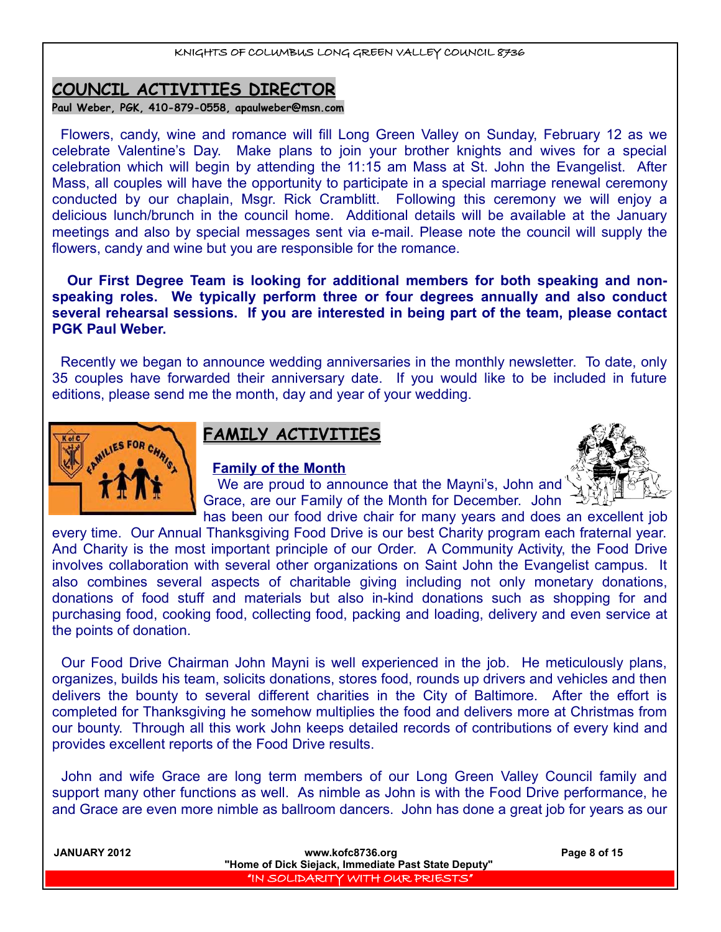## **COUNCIL ACTIVITIES DIRECTOR**

**Paul Weber, PGK, 410-879-0558, apaulweber@msn.com**

Flowers, candy, wine and romance will fill Long Green Valley on Sunday, February 12 as we celebrate Valentine's Day. Make plans to join your brother knights and wives for a special celebration which will begin by attending the 11:15 am Mass at St. John the Evangelist. After Mass, all couples will have the opportunity to participate in a special marriage renewal ceremony conducted by our chaplain, Msgr. Rick Cramblitt. Following this ceremony we will enjoy a delicious lunch/brunch in the council home. Additional details will be available at the January meetings and also by special messages sent via e-mail. Please note the council will supply the flowers, candy and wine but you are responsible for the romance.

 **Our First Degree Team is looking for additional members for both speaking and nonspeaking roles. We typically perform three or four degrees annually and also conduct several rehearsal sessions. If you are interested in being part of the team, please contact PGK Paul Weber.** 

Recently we began to announce wedding anniversaries in the monthly newsletter. To date, only 35 couples have forwarded their anniversary date. If you would like to be included in future editions, please send me the month, day and year of your wedding.



## **FAMILY ACTIVITIES**

#### **Family of the Month**



We are proud to announce that the Mayni's, John and Grace, are our Family of the Month for December. John has been our food drive chair for many years and does an excellent job

every time. Our Annual Thanksgiving Food Drive is our best Charity program each fraternal year. And Charity is the most important principle of our Order. A Community Activity, the Food Drive involves collaboration with several other organizations on Saint John the Evangelist campus. It also combines several aspects of charitable giving including not only monetary donations, donations of food stuff and materials but also in-kind donations such as shopping for and purchasing food, cooking food, collecting food, packing and loading, delivery and even service at the points of donation.

Our Food Drive Chairman John Mayni is well experienced in the job. He meticulously plans, organizes, builds his team, solicits donations, stores food, rounds up drivers and vehicles and then delivers the bounty to several different charities in the City of Baltimore. After the effort is completed for Thanksgiving he somehow multiplies the food and delivers more at Christmas from our bounty. Through all this work John keeps detailed records of contributions of every kind and provides excellent reports of the Food Drive results.

John and wife Grace are long term members of our Long Green Valley Council family and support many other functions as well. As nimble as John is with the Food Drive performance, he and Grace are even more nimble as ballroom dancers. John has done a great job for years as our

| <b>JANUARY 2012</b> | www.kofc8736.org                                    | Page 8 of 15 |
|---------------------|-----------------------------------------------------|--------------|
|                     | "Home of Dick Siejack, Immediate Past State Deputy" |              |
|                     | IN SOLIDARITY WITH OUR PRIESTS"                     |              |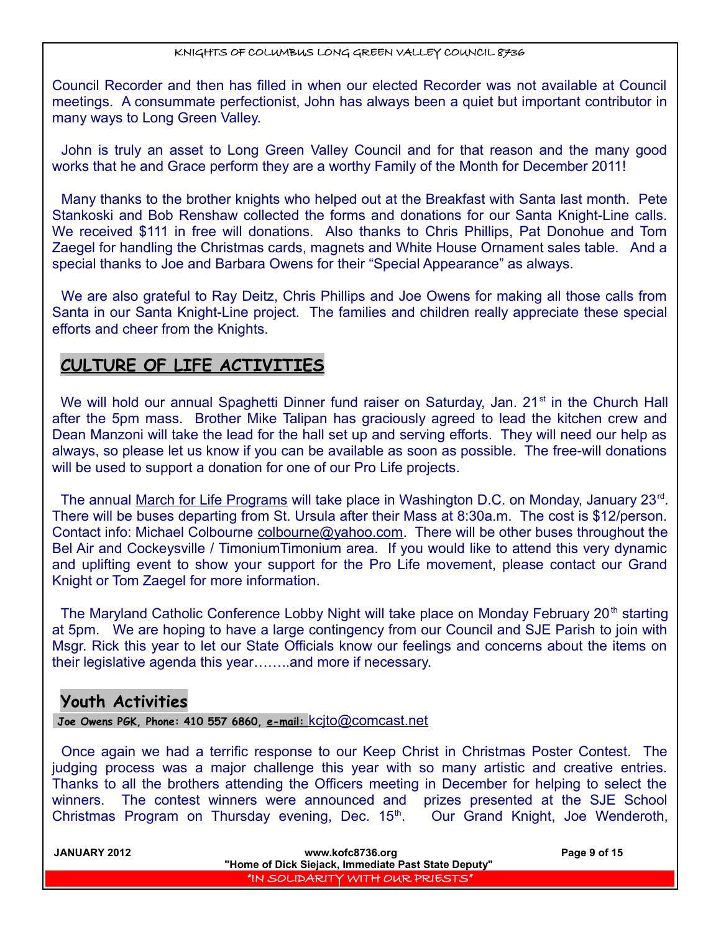Council Recorder and then has filled in when our elected Recorder was not available at Council meetings. A consummate perfectionist, John has always been a quiet but important contributor in many ways to Long Green Valley.

John is truly an asset to Long Green Valley Council and for that reason and the many good works that he and Grace perform they are a worthy Family of the Month for December 2011!

Many thanks to the brother knights who helped out at the Breakfast with Santa last month. Pete Stankoski and Bob Renshaw collected the forms and donations for our Santa Knight-Line calls. We received \$111 in free will donations. Also thanks to Chris Phillips, Pat Donohue and Tom Zaegel for handling the Christmas cards, magnets and White House Ornament sales table. And a special thanks to Joe and Barbara Owens for their "Special Appearance" as always.

We are also grateful to Ray Deitz, Chris Phillips and Joe Owens for making all those calls from Santa in our Santa Knight-Line project. The families and children really appreciate these special efforts and cheer from the Knights.

## **CULTURE OF LIFE ACTIVITIES**

We will hold our annual Spaghetti Dinner fund raiser on Saturday, Jan. 21<sup>st</sup> in the Church Hall after the 5pm mass. Brother Mike Talipan has graciously agreed to lead the kitchen crew and Dean Manzoni will take the lead for the hall set up and serving efforts. They will need our help as always, so please let us know if you can be available as soon as possible. The free-will donations will be used to support a donation for one of our Pro Life projects.

The annual March for Life Programs will take place in Washington D.C. on Monday, January 23<sup>rd</sup>. There will be buses departing from St. Ursula after their Mass at 8:30a.m. The cost is \$12/person. Contact info: Michael Colbourne colbourne@yahoo.com. There will be other buses throughout the Bel Air and Cockeysville / TimoniumTimonium area. If you would like to attend this very dynamic and uplifting event to show your support for the Pro Life movement, please contact our Grand Knight or Tom Zaegel for more information.

The Maryland Catholic Conference Lobby Night will take place on Monday February 20<sup>th</sup> starting at 5pm. We are hoping to have a large contingency from our Council and SJE Parish to join with Msgr. Rick this year to let our State Officials know our feelings and concerns about the items on their legislative agenda this year……..and more if necessary.

## **Youth Activities**

 **Joe Owens PGK, Phone: 410 557 6860, e-mail:** [kcjto@comcast.net](mailto:kcjto@comcast.net)

Once again we had a terrific response to our Keep Christ in Christmas Poster Contest. The judging process was a major challenge this year with so many artistic and creative entries. Thanks to all the brothers attending the Officers meeting in December for helping to select the winners. The contest winners were announced and prizes presented at the SJE School Christmas Program on Thursday evening, Dec. 15<sup>th</sup>. Our Grand Knight, Joe Wenderoth,

| <b>JANUARY 2012</b> | www.kofc8736.org                                    | Page 9 of 15 |
|---------------------|-----------------------------------------------------|--------------|
|                     | "Home of Dick Siejack, Immediate Past State Deputy" |              |
|                     | "IN SOLIDARITY WITH OUR PRIESTS"                    |              |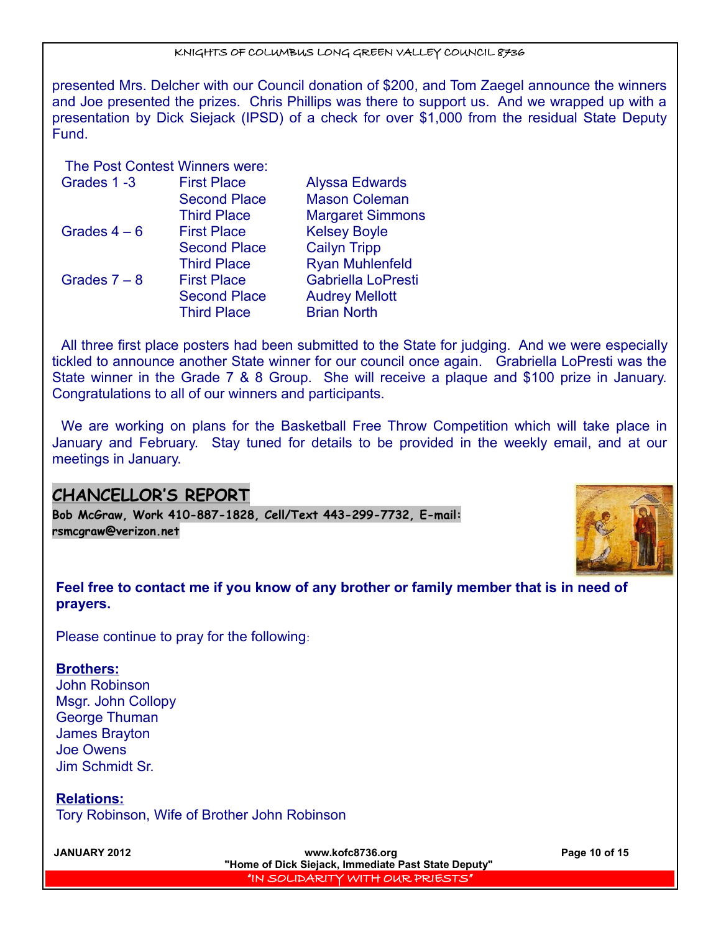presented Mrs. Delcher with our Council donation of \$200, and Tom Zaegel announce the winners and Joe presented the prizes. Chris Phillips was there to support us. And we wrapped up with a presentation by Dick Siejack (IPSD) of a check for over \$1,000 from the residual State Deputy Fund.

The Post Contest Winners were:

| Grades 1-3     | <b>First Place</b>  | <b>Alyssa Edwards</b>   |
|----------------|---------------------|-------------------------|
|                | <b>Second Place</b> | <b>Mason Coleman</b>    |
|                | <b>Third Place</b>  | <b>Margaret Simmons</b> |
| Grades $4-6$   | <b>First Place</b>  | <b>Kelsey Boyle</b>     |
|                | <b>Second Place</b> | <b>Cailyn Tripp</b>     |
|                | <b>Third Place</b>  | <b>Ryan Muhlenfeld</b>  |
| Grades $7 - 8$ | <b>First Place</b>  | Gabriella LoPresti      |
|                | <b>Second Place</b> | <b>Audrey Mellott</b>   |
|                | <b>Third Place</b>  | <b>Brian North</b>      |

All three first place posters had been submitted to the State for judging. And we were especially tickled to announce another State winner for our council once again. Grabriella LoPresti was the State winner in the Grade 7 & 8 Group. She will receive a plaque and \$100 prize in January. Congratulations to all of our winners and participants.

We are working on plans for the Basketball Free Throw Competition which will take place in January and February. Stay tuned for details to be provided in the weekly email, and at our meetings in January.

## **CHANCELLOR'S REPORT**

**Bob McGraw, Work 410-887-1828, Cell/Text 443-299-7732, E-mail: [rsmcgraw@verizon.net](mailto:rsmcgraw@verizon.net)**



**Feel free to contact me if you know of any brother or family member that is in need of prayers.** 

Please continue to pray for the following:

#### **Brothers:**

John Robinson Msgr. John Collopy George Thuman James Brayton Joe Owens Jim Schmidt Sr.

**Relations:**

Tory Robinson, Wife of Brother John Robinson

**JANUARY 2012 www.kofc8736.org Page 10 of 15 "Home of Dick Siejack, Immediate Past State Deputy"**  "IN SOLIDARITY WITH OUR PRIESTS"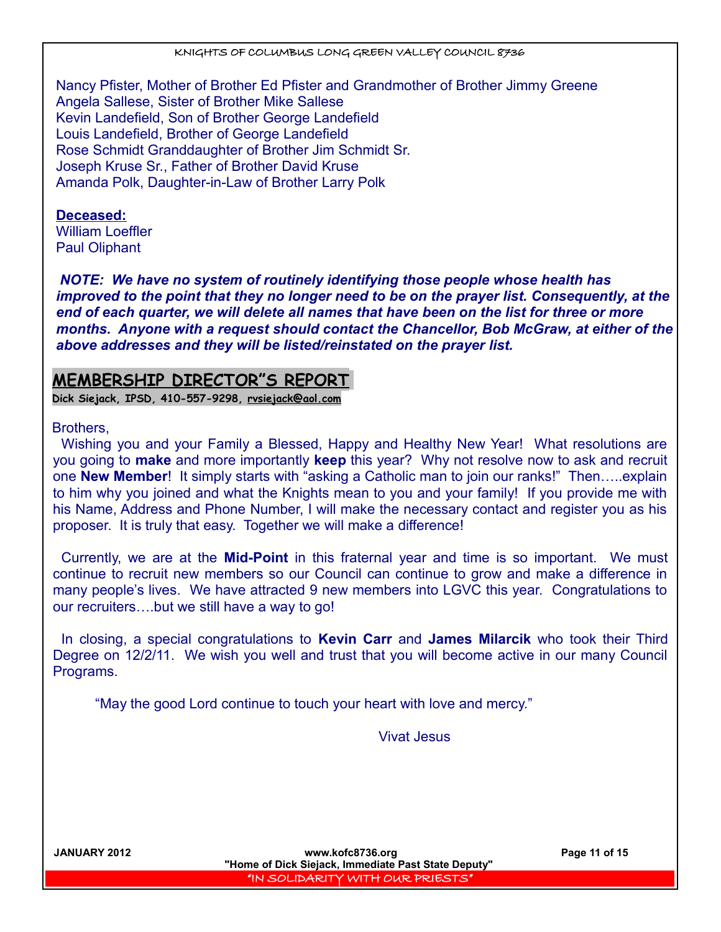Nancy Pfister, Mother of Brother Ed Pfister and Grandmother of Brother Jimmy Greene Angela Sallese, Sister of Brother Mike Sallese Kevin Landefield, Son of Brother George Landefield Louis Landefield, Brother of George Landefield Rose Schmidt Granddaughter of Brother Jim Schmidt Sr. Joseph Kruse Sr., Father of Brother David Kruse Amanda Polk, Daughter-in-Law of Brother Larry Polk

# **Deceased:**

William Loeffler Paul Oliphant

*NOTE: We have no system of routinely identifying those people whose health has improved to the point that they no longer need to be on the prayer list. Consequently, at the end of each quarter, we will delete all names that have been on the list for three or more months. Anyone with a request should contact the Chancellor, Bob McGraw, at either of the above addresses and they will be listed/reinstated on the prayer list.* 

## **MEMBERSHIP DIRECTOR"S REPORT**

**Dick Siejack, IPSD, 410-557-9298, [rvsiejack@aol.com](mailto:rvsiejack@aol.com)**

Brothers,

Wishing you and your Family a Blessed, Happy and Healthy New Year! What resolutions are you going to **make** and more importantly **keep** this year? Why not resolve now to ask and recruit one **New Member**! It simply starts with "asking a Catholic man to join our ranks!" Then…..explain to him why you joined and what the Knights mean to you and your family! If you provide me with his Name, Address and Phone Number, I will make the necessary contact and register you as his proposer. It is truly that easy. Together we will make a difference!

Currently, we are at the **Mid-Point** in this fraternal year and time is so important. We must continue to recruit new members so our Council can continue to grow and make a difference in many people's lives. We have attracted 9 new members into LGVC this year. Congratulations to our recruiters….but we still have a way to go!

In closing, a special congratulations to **Kevin Carr** and **James Milarcik** who took their Third Degree on 12/2/11. We wish you well and trust that you will become active in our many Council Programs.

"May the good Lord continue to touch your heart with love and mercy."

Vivat Jesus

**JANUARY 2012 www.kofc8736.org Page 11 of 15 "Home of Dick Siejack, Immediate Past State Deputy"**  "IN SOLIDARITY WITH OUR PRIESTS"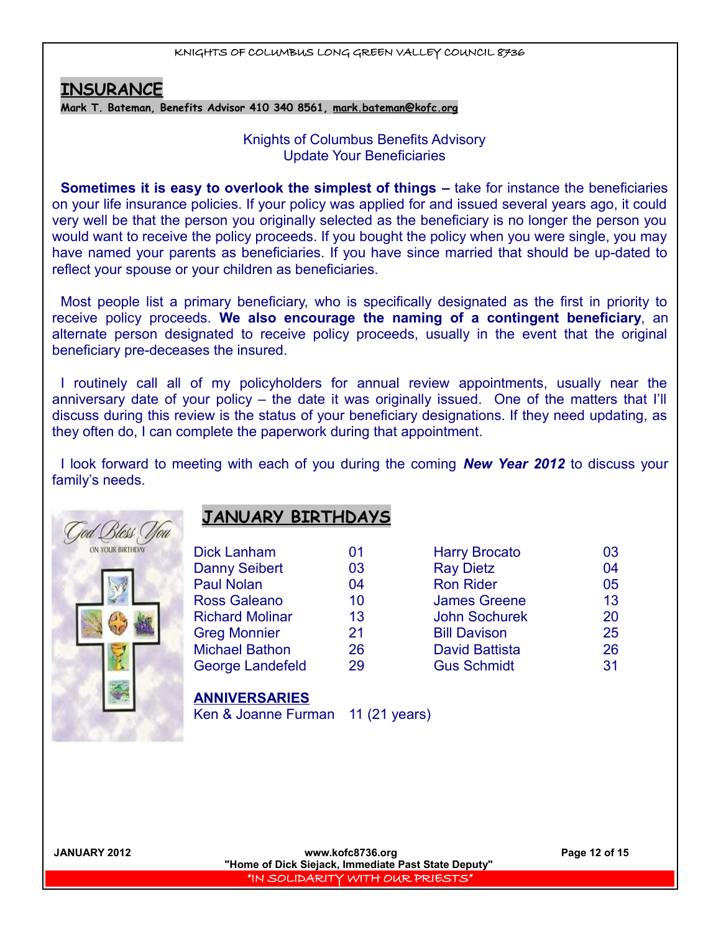## **INSURANCE**

**Mark T. Bateman, Benefits Advisor 410 340 8561, [mark.bateman@kofc.org](mailto:mark.bateman@kofc.org)**

### Knights of Columbus Benefits Advisory Update Your Beneficiaries

**Sometimes it is easy to overlook the simplest of things** – take for instance the beneficiaries on your life insurance policies. If your policy was applied for and issued several years ago, it could very well be that the person you originally selected as the beneficiary is no longer the person you would want to receive the policy proceeds. If you bought the policy when you were single, you may have named your parents as beneficiaries. If you have since married that should be up-dated to reflect your spouse or your children as beneficiaries.

Most people list a primary beneficiary, who is specifically designated as the first in priority to receive policy proceeds. **We also encourage the naming of a contingent beneficiary**, an alternate person designated to receive policy proceeds, usually in the event that the original beneficiary pre-deceases the insured.

I routinely call all of my policyholders for annual review appointments, usually near the anniversary date of your policy – the date it was originally issued. One of the matters that I'll discuss during this review is the status of your beneficiary designations. If they need updating, as they often do, I can complete the paperwork during that appointment.

I look forward to meeting with each of you during the coming *New Year 2012* to discuss your family's needs.



## **JANUARY BIRTHDAYS**

| <b>Dick Lanham</b>     | 01 | <b>Harry Brocato</b>  | 03 |
|------------------------|----|-----------------------|----|
| <b>Danny Seibert</b>   | 03 | <b>Ray Dietz</b>      | 04 |
| <b>Paul Nolan</b>      | 04 | <b>Ron Rider</b>      | 05 |
| <b>Ross Galeano</b>    | 10 | <b>James Greene</b>   | 13 |
| <b>Richard Molinar</b> | 13 | <b>John Sochurek</b>  | 20 |
| <b>Greg Monnier</b>    | 21 | <b>Bill Davison</b>   | 25 |
| <b>Michael Bathon</b>  | 26 | <b>David Battista</b> | 26 |
| George Landefeld       | 29 | <b>Gus Schmidt</b>    | 31 |
|                        |    |                       |    |

# **ANNIVERSARIES**

Ken & Joanne Furman 11 (21 years)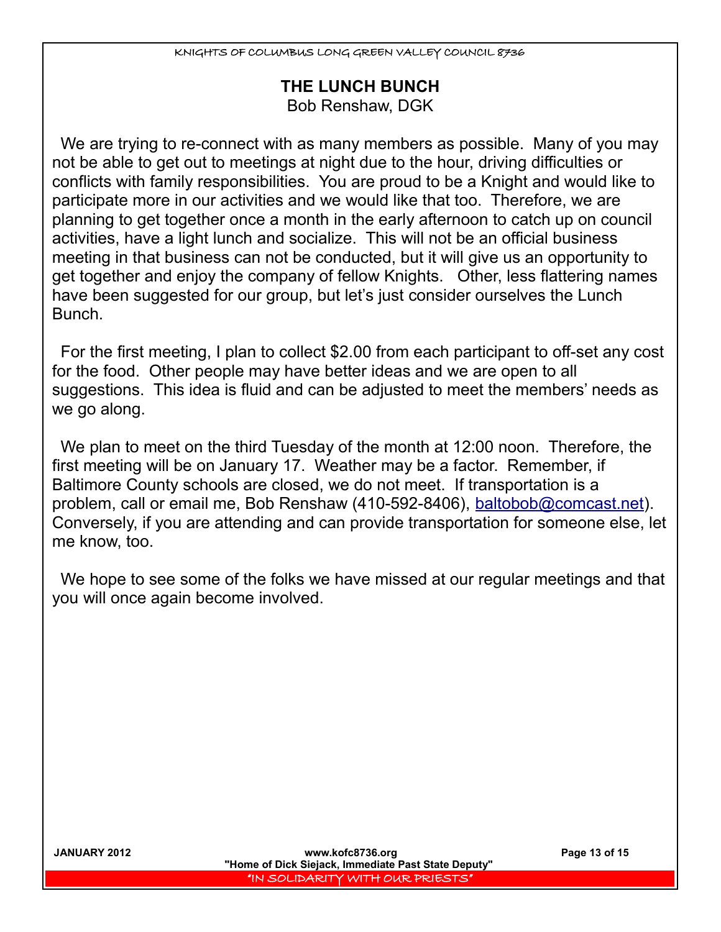## **THE LUNCH BUNCH**

Bob Renshaw, DGK

We are trying to re-connect with as many members as possible. Many of you may not be able to get out to meetings at night due to the hour, driving difficulties or conflicts with family responsibilities. You are proud to be a Knight and would like to participate more in our activities and we would like that too. Therefore, we are planning to get together once a month in the early afternoon to catch up on council activities, have a light lunch and socialize. This will not be an official business meeting in that business can not be conducted, but it will give us an opportunity to get together and enjoy the company of fellow Knights. Other, less flattering names have been suggested for our group, but let's just consider ourselves the Lunch Bunch.

For the first meeting, I plan to collect \$2.00 from each participant to off-set any cost for the food. Other people may have better ideas and we are open to all suggestions. This idea is fluid and can be adjusted to meet the members' needs as we go along.

We plan to meet on the third Tuesday of the month at 12:00 noon. Therefore, the first meeting will be on January 17. Weather may be a factor. Remember, if Baltimore County schools are closed, we do not meet. If transportation is a problem, call or email me, Bob Renshaw (410-592-8406), baltobob@comcast.net). Conversely, if you are attending and can provide transportation for someone else, let me know, too.

We hope to see some of the folks we have missed at our regular meetings and that you will once again become involved.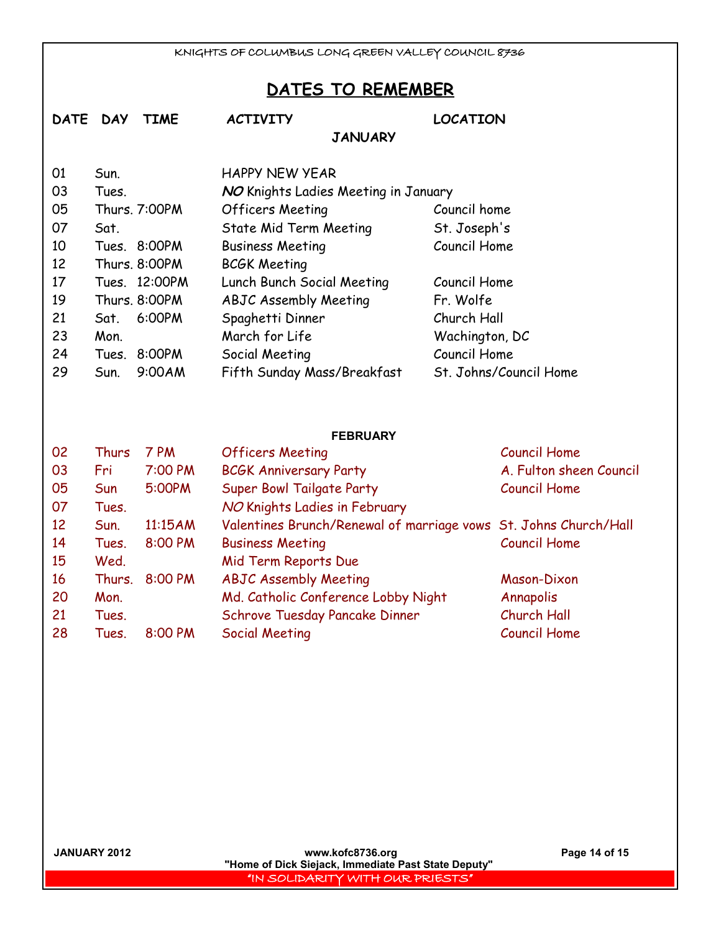## **DATES TO REMEMBER**

| <b>DATE</b> | <b>TIME</b><br><b>DAY</b> | <b>ACTIVITY</b>                      | <b>LOCATION</b>        |
|-------------|---------------------------|--------------------------------------|------------------------|
|             |                           | <b>JANUARY</b>                       |                        |
| 01          | Sun.                      | <b>HAPPY NEW YEAR</b>                |                        |
| 03          | Tues.                     | NO Knights Ladies Meeting in January |                        |
| 05          | Thurs. 7:00PM             | Officers Meeting                     | Council home           |
| 07          | Sat.                      | State Mid Term Meeting               | St. Joseph's           |
| 10          | Tues. 8:00PM              | <b>Business Meeting</b>              | Council Home           |
| 12          | Thurs, 8:00PM             | <b>BCGK Meeting</b>                  |                        |
| 17          | Tues. 12:00PM             | Lunch Bunch Social Meeting           | Council Home           |
| 19          | Thurs. 8:00PM             | <b>ABJC Assembly Meeting</b>         | Fr. Wolfe              |
| 21          | 6:00PM<br>Sat.            | Spaghetti Dinner                     | Church Hall            |
| 23          | Mon.                      | March for Life                       | Wachington, DC         |
| 24          | 8:00PM<br>Tues.           | Social Meeting                       | Council Home           |
| 29          | 9:00AM<br>Sun.            | Fifth Sunday Mass/Breakfast          | St. Johns/Council Home |
|             |                           | <b>FEBRUARY</b>                      |                        |
| 02          | Thurs<br>7 PM             | <b>Officers Meeting</b>              | <b>Council Home</b>    |
| 03          | 7:00 PM<br>Fri            | <b>BCGK Anniversary Party</b>        | A. Fulton sheen Cour   |

| 03 | Fri        | 7:00 PM | <b>BCGK Anniversary Party</b>                                    | A. Fulton sheen Council |
|----|------------|---------|------------------------------------------------------------------|-------------------------|
| 05 | <b>Sun</b> | 5:00PM  | Super Bowl Tailgate Party                                        | <b>Council Home</b>     |
| 07 | Tues.      |         | NO Knights Ladies in February                                    |                         |
| 12 | Sun.       | 11:15AM | Valentines Brunch/Renewal of marriage vows St. Johns Church/Hall |                         |
| 14 | Tues.      | 8:00 PM | <b>Business Meeting</b>                                          | <b>Council Home</b>     |
| 15 | Wed.       |         | Mid Term Reports Due                                             |                         |
| 16 | Thurs.     | 8:00 PM | <b>ABJC Assembly Meeting</b>                                     | Mason-Dixon             |
| 20 | Mon.       |         | Md. Catholic Conference Lobby Night                              | Annapolis               |
| 21 | Tues.      |         | Schrove Tuesday Pancake Dinner                                   | Church Hall             |
| 28 | Tues.      | 8:00 PM | Social Meeting                                                   | <b>Council Home</b>     |
|    |            |         |                                                                  |                         |